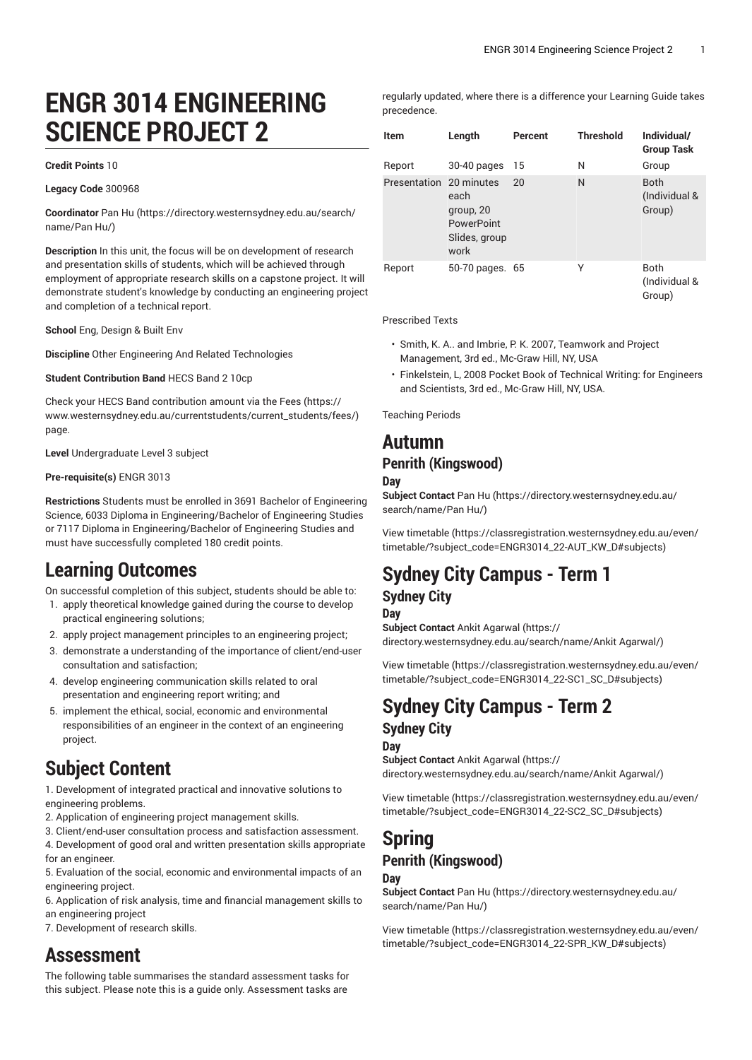# **ENGR 3014 ENGINEERING SCIENCE PROJECT 2**

#### **Credit Points** 10

**Legacy Code** 300968

**Coordinator** [Pan](https://directory.westernsydney.edu.au/search/name/Pan Hu/) Hu [\(https://directory.westernsydney.edu.au/search/](https://directory.westernsydney.edu.au/search/name/Pan Hu/) [name/Pan](https://directory.westernsydney.edu.au/search/name/Pan Hu/) Hu/)

**Description** In this unit, the focus will be on development of research and presentation skills of students, which will be achieved through employment of appropriate research skills on a capstone project. It will demonstrate student's knowledge by conducting an engineering project and completion of a technical report.

**School** Eng, Design & Built Env

**Discipline** Other Engineering And Related Technologies

**Student Contribution Band** HECS Band 2 10cp

Check your HECS Band contribution amount via the [Fees \(https://](https://www.westernsydney.edu.au/currentstudents/current_students/fees/) [www.westernsydney.edu.au/currentstudents/current\\_students/fees/\)](https://www.westernsydney.edu.au/currentstudents/current_students/fees/) page.

**Level** Undergraduate Level 3 subject

#### **Pre-requisite(s)** [ENGR 3013](/search/?P=ENGR%203013)

**Restrictions** Students must be enrolled in 3691 Bachelor of Engineering Science, 6033 Diploma in Engineering/Bachelor of Engineering Studies or 7117 Diploma in Engineering/Bachelor of Engineering Studies and must have successfully completed 180 credit points.

### **Learning Outcomes**

On successful completion of this subject, students should be able to:

- 1. apply theoretical knowledge gained during the course to develop practical engineering solutions;
- 2. apply project management principles to an engineering project;
- 3. demonstrate a understanding of the importance of client/end-user consultation and satisfaction;
- 4. develop engineering communication skills related to oral presentation and engineering report writing; and
- 5. implement the ethical, social, economic and environmental responsibilities of an engineer in the context of an engineering project.

# **Subject Content**

1. Development of integrated practical and innovative solutions to engineering problems.

- 2. Application of engineering project management skills.
- 3. Client/end-user consultation process and satisfaction assessment.
- 4. Development of good oral and written presentation skills appropriate for an engineer.
- 5. Evaluation of the social, economic and environmental impacts of an engineering project.
- 6. Application of risk analysis, time and financial management skills to an engineering project
- 7. Development of research skills.

## **Assessment**

The following table summarises the standard assessment tasks for this subject. Please note this is a guide only. Assessment tasks are

regularly updated, where there is a difference your Learning Guide takes precedence.

| <b>Item</b>             | Length                                                   | Percent | <b>Threshold</b> | Individual/<br><b>Group Task</b>       |
|-------------------------|----------------------------------------------------------|---------|------------------|----------------------------------------|
| Report                  | 30-40 pages                                              | 15      | N                | Group                                  |
| Presentation 20 minutes | each<br>group, 20<br>PowerPoint<br>Slides, group<br>work | 20      | N                | <b>Both</b><br>(Individual &<br>Group) |
| Report                  | 50-70 pages. 65                                          |         | Υ                | Both<br>(Individual &<br>Group)        |

Prescribed Texts

- Smith, K. A.. and Imbrie, P. K. 2007, Teamwork and Project Management, 3rd ed., Mc-Graw Hill, NY, USA
- Finkelstein, L, 2008 Pocket Book of Technical Writing: for Engineers and Scientists, 3rd ed., Mc-Graw Hill, NY, USA.

Teaching Periods

### **Autumn**

### **Penrith (Kingswood)**

#### **Day**

**Subject Contact** [Pan](https://directory.westernsydney.edu.au/search/name/Pan Hu/) Hu ([https://directory.westernsydney.edu.au/](https://directory.westernsydney.edu.au/search/name/Pan Hu/) [search/name/Pan](https://directory.westernsydney.edu.au/search/name/Pan Hu/) Hu/)

[View timetable](https://classregistration.westernsydney.edu.au/even/timetable/?subject_code=ENGR3014_22-AUT_KW_D#subjects) [\(https://classregistration.westernsydney.edu.au/even/](https://classregistration.westernsydney.edu.au/even/timetable/?subject_code=ENGR3014_22-AUT_KW_D#subjects) [timetable/?subject\\_code=ENGR3014\\_22-AUT\\_KW\\_D#subjects](https://classregistration.westernsydney.edu.au/even/timetable/?subject_code=ENGR3014_22-AUT_KW_D#subjects))

# **Sydney City Campus - Term 1**

### **Sydney City**

**Day**

**Subject Contact** Ankit [Agarwal \(https://](https://directory.westernsydney.edu.au/search/name/Ankit Agarwal/) [directory.westernsydney.edu.au/search/name/Ankit](https://directory.westernsydney.edu.au/search/name/Ankit Agarwal/) Agarwal/)

[View timetable](https://classregistration.westernsydney.edu.au/even/timetable/?subject_code=ENGR3014_22-SC1_SC_D#subjects) [\(https://classregistration.westernsydney.edu.au/even/](https://classregistration.westernsydney.edu.au/even/timetable/?subject_code=ENGR3014_22-SC1_SC_D#subjects) [timetable/?subject\\_code=ENGR3014\\_22-SC1\\_SC\\_D#subjects](https://classregistration.westernsydney.edu.au/even/timetable/?subject_code=ENGR3014_22-SC1_SC_D#subjects))

## **Sydney City Campus - Term 2 Sydney City**

**Day Subject Contact** Ankit [Agarwal \(https://](https://directory.westernsydney.edu.au/search/name/Ankit Agarwal/) [directory.westernsydney.edu.au/search/name/Ankit](https://directory.westernsydney.edu.au/search/name/Ankit Agarwal/) Agarwal/)

[View timetable](https://classregistration.westernsydney.edu.au/even/timetable/?subject_code=ENGR3014_22-SC2_SC_D#subjects) [\(https://classregistration.westernsydney.edu.au/even/](https://classregistration.westernsydney.edu.au/even/timetable/?subject_code=ENGR3014_22-SC2_SC_D#subjects) [timetable/?subject\\_code=ENGR3014\\_22-SC2\\_SC\\_D#subjects](https://classregistration.westernsydney.edu.au/even/timetable/?subject_code=ENGR3014_22-SC2_SC_D#subjects))

### **Spring Penrith (Kingswood) Day**

**Subject Contact** [Pan](https://directory.westernsydney.edu.au/search/name/Pan Hu/) Hu ([https://directory.westernsydney.edu.au/](https://directory.westernsydney.edu.au/search/name/Pan Hu/) [search/name/Pan](https://directory.westernsydney.edu.au/search/name/Pan Hu/) Hu/)

[View timetable](https://classregistration.westernsydney.edu.au/even/timetable/?subject_code=ENGR3014_22-SPR_KW_D#subjects) [\(https://classregistration.westernsydney.edu.au/even/](https://classregistration.westernsydney.edu.au/even/timetable/?subject_code=ENGR3014_22-SPR_KW_D#subjects) [timetable/?subject\\_code=ENGR3014\\_22-SPR\\_KW\\_D#subjects](https://classregistration.westernsydney.edu.au/even/timetable/?subject_code=ENGR3014_22-SPR_KW_D#subjects))